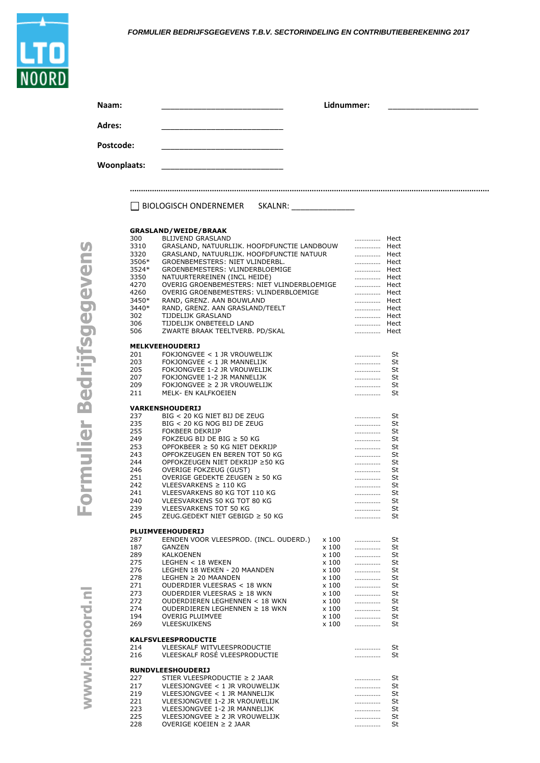## *FORMULIER BEDRIJFSGEGEVENS T.B.V. SECTORINDELING EN CONTRIBUTIEBEREKENING 2017*

| Naam:                        |                                                                                                                                                                                                                       | Lidnummer:   |  |
|------------------------------|-----------------------------------------------------------------------------------------------------------------------------------------------------------------------------------------------------------------------|--------------|--|
| Adres:                       |                                                                                                                                                                                                                       |              |  |
| Postcode:                    |                                                                                                                                                                                                                       |              |  |
| Woonplaats:                  |                                                                                                                                                                                                                       |              |  |
|                              | BIOLOGISCH ONDERNEMER SKALNR:                                                                                                                                                                                         |              |  |
| 300<br>3310<br>3320<br>3506* | <b>GRASLAND/WEIDE/BRAAK</b><br><b>BLIJVEND GRASLAND</b><br>GRASLAND, NATUURLIJK. HOOFDFUNCTIE LANDBOUW  Hect<br>GRASLAND, NATUURLIJK. HOOFDFUNCTIE NATUUR ___________________ Hect<br>GROENBEMESTERS: NIET VLINDERBL. | Hect<br>Hect |  |

|       | BIOLOGISCH ONDERNEMER<br>SKALNR:                          |              |      |      |
|-------|-----------------------------------------------------------|--------------|------|------|
|       | <b>GRASLAND/WEIDE/BRAAK</b>                               |              |      |      |
| 300   | <b>BLIJVEND GRASLAND</b>                                  |              | .    | Hect |
| 3310  | GRASLAND, NATUURLIJK. HOOFDFUNCTIE LANDBOUW               |              |      | Hect |
|       |                                                           |              | .    |      |
| 3320  | GRASLAND, NATUURLIJK. HOOFDFUNCTIE NATUUR                 |              | .    | Hect |
| 3506* | GROENBEMESTERS: NIET VLINDERBL.                           |              |      | Hect |
| 3524* | GROENBEMESTERS: VLINDERBLOEMIGE                           |              | .    | Hect |
| 3350  | NATUURTERREINEN (INCL HEIDE)                              |              | .    | Hect |
| 4270  | OVERIG GROENBEMESTERS: NIET VLINDERBLOEMIGE               |              | .    | Hect |
| 4260  | OVERIG GROENBEMESTERS: VLINDERBLOEMIGE                    |              | .    | Hect |
| 3450* | RAND, GRENZ. AAN BOUWLAND                                 |              | .    | Hect |
| 3440* | RAND, GRENZ. AAN GRASLAND/TEELT                           |              | .    | Hect |
| 302   | TIJDELIJK GRASLAND                                        |              | Hect |      |
| 306   | TIJDELIJK ONBETEELD LAND                                  |              | Hect |      |
| 506   | ZWARTE BRAAK TEELTVERB. PD/SKAL                           |              | .    | Hect |
|       | <b>MELKVEEHOUDERIJ</b>                                    |              |      |      |
| 201   | FOKJONGVEE $<$ 1 JR VROUWELIJK                            |              | .    | St   |
| 203   | FOKJONGVEE < 1 JR MANNELIJK                               |              |      | St   |
| 205   | FOKJONGVEE 1-2 JR VROUWELIJK                              |              | .    | St   |
|       |                                                           |              | .    |      |
| 207   | FOKJONGVEE 1-2 JR MANNELIJK                               |              |      | St   |
| 209   | FOKJONGVEE $\geq$ 2 JR VROUWELIJK                         |              | .    | St   |
| 211   | <b>MELK- EN KALFKOEIEN</b>                                |              | .    | St   |
|       | VARKENSHOUDERIJ                                           |              |      |      |
| 237   | BIG < 20 KG NIET BIJ DE ZEUG                              |              |      | St   |
| 235   | BIG < 20 KG NOG BIJ DE ZEUG                               |              | .    | St   |
| 255   | FOKBEER DEKRIJP                                           |              |      | St   |
|       | FOKZEUG BIJ DE BIG $\geq$ 50 KG                           |              | .    |      |
| 249   |                                                           |              | .    | St   |
| 253   | OPFOKBEER $\geq$ 50 KG NIET DEKRIJP                       |              | .    | St   |
| 243   | OPFOKZEUGEN EN BEREN TOT 50 KG                            |              | .    | St   |
| 244   | OPFOKZEUGEN NIET DEKRIJP ≥50 KG                           |              | .    | St   |
| 246   | OVERIGE FOKZEUG (GUST)                                    |              |      | St   |
| 251   | OVERIGE GEDEKTE ZEUGEN $\geq 50$ KG                       |              | .    | St   |
| 242   | VLEESVARKENS $\geq$ 110 KG                                |              | .    | St   |
| 241   | VLEESVARKENS 80 KG TOT 110 KG                             |              | .    | St   |
| 240   | VLEESVARKENS 50 KG TOT 80 KG                              |              | .    | St   |
| 239   | <b>VLEESVARKENS TOT 50 KG</b>                             |              | .    | St   |
| 245   | ZEUG.GEDEKT NIET GEBIGD ≥ 50 KG                           |              | .    | St   |
|       |                                                           |              |      |      |
|       | <b>PLUIMVEEHOUDERIJ</b>                                   |              |      |      |
| 287   | EENDEN VOOR VLEESPROD. (INCL. OUDERD.)                    | x 100        | .    | St   |
| 187   | GANZEN                                                    | $\times 100$ | .    | St   |
| 289   | <b>KALKOENEN</b>                                          | x 100        | .    | St   |
| 275   | LEGHEN < 18 WEKEN                                         | x 100        | .    | St   |
| 276   | LEGHEN 18 WEKEN - 20 MAANDEN                              | x100         | .    | St   |
| 278   | LEGHEN $\geq$ 20 MAANDEN                                  | x 100        | .    | St   |
| 271   | OUDERDIER VLEESRAS < 18 WKN                               | x 100        | .    | St   |
| 273   | OUDERDIER VLEESRAS $\geq$ 18 WKN                          | x 100        | .    | St   |
| 272   | OUDERDIEREN LEGHENNEN < 18 WKN                            | x 100        |      | St   |
|       |                                                           |              | .    |      |
| 274   | OUDERDIEREN LEGHENNEN ≥ 18 WKN                            | x 100        | .    | St   |
| 194   | <b>OVERIG PLUIMVEE</b>                                    | x 100        | .    | St   |
| 269   | <b>VLEESKUIKENS</b>                                       | x 100        | .    | St   |
|       | <b>KALFSVLEESPRODUCTIE</b>                                |              |      |      |
| 214   | VLEESKALF WITVLEESPRODUCTIE                               |              | .    | St   |
| 216   | VLEESKALF ROSE VLEESPRODUCTIE                             |              | .    | St   |
|       |                                                           |              |      |      |
| 227   | <b>RUNDVLEESHOUDERIJ</b><br>STIER VLEESPRODUCTIE ≥ 2 JAAR |              |      | St   |
|       | VLEESJONGVEE < 1 JR VROUWELIJK                            |              | .    |      |
| 217   |                                                           |              |      | St   |
| 219   | VLEESJONGVEE < 1 JR MANNELIJK                             |              | .    | St   |
| 221   | VLEESJONGVEE 1-2 JR VROUWELIJK                            |              | .    | St   |
| 223   | VLEESJONGVEE 1-2 JR MANNELIJK                             |              | .    | St   |
| 225   | VLEESJONGVEE ≥ 2 JR VROUWELIJK                            |              | .    | St   |

OVERIGE KOEIEN ≥ 2 JAAR …………… St

www.ltonoord.nl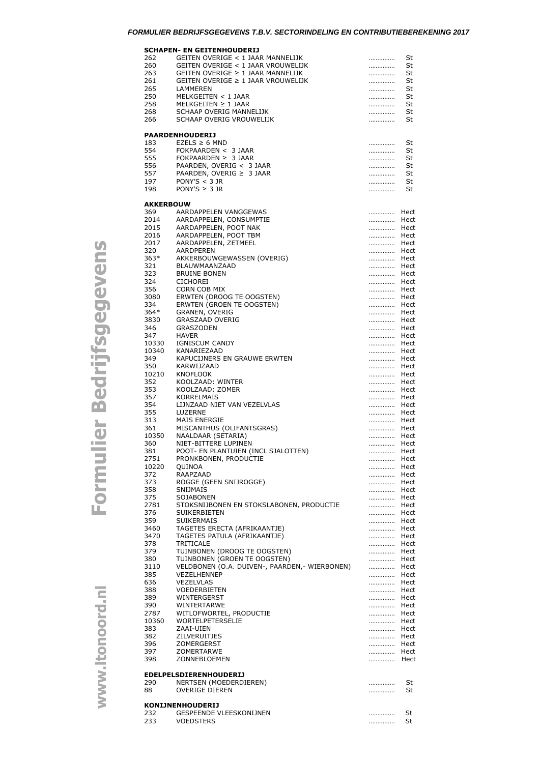## *FORMULIER BEDRIJFSGEGEVENS T.B.V. SECTORINDELING EN CONTRIBUTIEBEREKENING 2017*

| 232<br>233       | <b>GESPEENDE VLEESKONIJNEN</b><br>VOEDSTERS                 | .<br>.       | St<br>St     |
|------------------|-------------------------------------------------------------|--------------|--------------|
| 88               | <b>OVERIGE DIEREN</b><br><b>KONIJNENHOUDERIJ</b>            |              | St           |
| 290              | <b>EDELPELSDIERENHOUDERIJ</b><br>NERTSEN (MOEDERDIEREN)     | .            | St           |
| 398              | ZONNEBLOEMEN                                                | Hect         |              |
| 397              | ZOMERTARWE                                                  | Hect         |              |
| 382<br>396       | ZILVERUITJES<br>ZOMERGERST                                  | Hect<br>Hect |              |
| 383              | ZAAI-UIEN                                                   | Hect         |              |
| 10360            | WORTELPETERSELIE                                            | Hect         |              |
| 390<br>2787      | WINTERTARWE<br>WITLOFWORTEL, PRODUCTIE                      | Hect<br>Hect |              |
| 389              | WINTERGERST                                                 | Hect         |              |
| 388              | <b>VOEDERBIETEN</b>                                         | Hect         |              |
| 385<br>636       | VEZELHENNEP<br><b>VEZELVLAS</b>                             | Hect<br>Hect |              |
| 3110             | VELDBONEN (O.A. DUIVEN-, PAARDEN, - WIERBONEN)              | Hect         |              |
| 380              | TUINBONEN (GROEN TE OOGSTEN)                                | Hect         |              |
| 378<br>379       | TRITICALE<br>TUINBONEN (DROOG TE OOGSTEN)                   | Hect<br>Hect |              |
| 3470             | TAGETES PATULA (AFRIKAANTJE)                                | Hect         |              |
| 3460             | TAGETES ERECTA (AFRIKAANTJE)                                | Hect         |              |
| 376<br>359       | SUIKERBIETEN<br><b>SUIKERMAIS</b>                           | Hect<br>Hect |              |
| 2781             | STOKSNIJBONEN EN STOKSLABONEN, PRODUCTIE                    | Hect         |              |
| 375              | SOJABONEN                                                   | Hect         |              |
| 373<br>358       | ROGGE (GEEN SNIJROGGE)<br><b>SNIJMAIS</b>                   | Hect<br>Hect |              |
| 372              | RAAPZAAD                                                    | Hect         |              |
| 10220            | QUINOA                                                      |              | Hect         |
| 2751             | PRONKBONEN, PRODUCTIE                                       |              | Hect<br>Hect |
| 360<br>381       | NIET-BITTERE LUPINEN<br>POOT- EN PLANTUIEN (INCL SJALOTTEN) | Hect         |              |
| 10350            | NAALDAAR (SETARIA)                                          | Hect         |              |
| 313<br>361       | MAIS ENERGIE<br>MISCANTHUS (OLIFANTSGRAS)                   | Hect<br>Hect |              |
| 355              | LUZERNE                                                     | Hect         |              |
| 354              | LIJNZAAD NIET VAN VEZELVLAS                                 | Hect         |              |
| 357              | KORRELMAIS                                                  | Hect         |              |
| 352<br>353       | KOOLZAAD: WINTER<br>KOOLZAAD: ZOMER                         | Hect<br>Hect |              |
| 10210            | <b>KNOFLOOK</b>                                             | Hect         |              |
| 350              | KARWIJZAAD                                                  | Hect         |              |
| 349              | KAPUCIJNERS EN GRAUWE ERWTEN                                | Hect         |              |
| 10330<br>10340   | IGNISCUM CANDY<br>KANARIEZAAD                               | Hect<br>Hect |              |
| 347              | <b>HAVER</b>                                                | Hect         |              |
| 346              | <b>GRASZODEN</b>                                            | Hect         |              |
| 364*<br>3830     | GRANEN, OVERIG<br><b>GRASZAAD OVERIG</b>                    | Hect<br>Hect |              |
| 334              | ERWTEN (GROEN TE OOGSTEN)                                   | Hect         |              |
| 3080             | ERWTEN (DROOG TE OOGSTEN)                                   | Hect         |              |
| 356              | CORN COB MIX                                                | Hect         |              |
| 323<br>324       | <b>BRUINE BONEN</b><br><b>CICHOREI</b>                      | Hect<br>Hect |              |
| 321              | BLAUWMAANZAAD                                               | Hect         |              |
| $363*$           | AKKERBOUWGEWASSEN (OVERIG)                                  | Hect         |              |
| 2017<br>320      | AARDAPPELEN, ZETMEEL<br>AARDPEREN                           | Hect<br>Hect |              |
| 2016             | AARDAPPELEN, POOT TBM                                       | Hect         |              |
| 2015             | AARDAPPELEN, POOT NAK                                       | Hect         |              |
| 369<br>2014      | AARDAPPELEN VANGGEWAS<br>AARDAPPELEN, CONSUMPTIE            | Hect<br>Hect |              |
| <b>AKKERBOUW</b> |                                                             |              |              |
| 198              | PONY'S $\geq$ 3 JR                                          |              | St           |
| 197              | PONY'S $<$ 3 JR                                             | .            | St           |
| 557              | PAARDEN, OVERIG $\geq$ 3 JAAR                               | .            | St           |
| 556              | PAARDEN, OVERIG < 3 JAAR                                    |              | St           |
| 554<br>555       | FOKPAARDEN < 3 JAAR<br>FOKPAARDEN $\geq$ 3 JAAR             | .            | St<br>St     |
| 183              | $EZELS \geq 6 MND$                                          | .            | St           |
|                  | <b>PAARDENHOUDERIJ</b>                                      |              |              |
| 266              | SCHAAP OVERIG VROUWELIJK                                    |              | St           |
| 268              | SCHAAP OVERIG MANNELIJK                                     |              | St           |
| 258              | $MELKGEITEN \geq 1$ JAAR                                    | .            | St           |
| 250              | LAMMEREN<br>MELKGEITEN < 1 JAAR                             | .<br>        | St<br>St     |
|                  |                                                             |              |              |
| 261<br>265       | GEITEN OVERIGE $\geq 1$ JAAR VROUWELIJK                     |              |              |
| 263              | GEITEN OVERIGE $\geq 1$ JAAR MANNELIJK                      | .<br>.       | St<br>St     |

## Formulier Bedrijfsgegevens

www.ltonoord.nl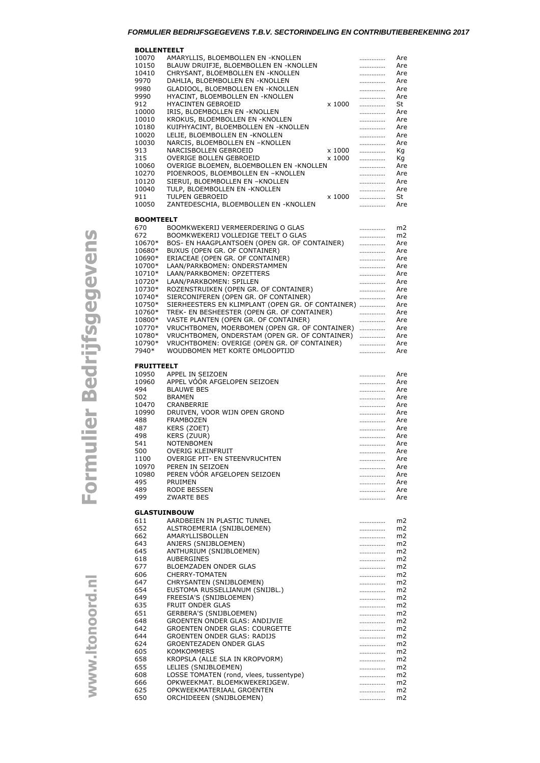## *FORMULIER BEDRIJFSGEGEVENS T.B.V. SECTORINDELING EN CONTRIBUTIEBEREKENING 2017*

**BOLLENTEELT**

| <b>DVLLLIVILLLI</b><br>10070 | AMARYLLIS, BLOEMBOLLEN EN -KNOLLEN                                                             | .      | Are                  |
|------------------------------|------------------------------------------------------------------------------------------------|--------|----------------------|
| 10150                        | BLAUW DRUIFJE, BLOEMBOLLEN EN -KNOLLEN                                                         | .      | Are                  |
| 10410                        | CHRYSANT, BLOEMBOLLEN EN -KNOLLEN                                                              | .      | Are                  |
| 9970                         | DAHLIA, BLOEMBOLLEN EN -KNOLLEN                                                                | .      | Are                  |
| 9980<br>9990                 | GLADIOOL, BLOEMBOLLEN EN -KNOLLEN<br>HYACINT, BLOEMBOLLEN EN -KNOLLEN                          | .<br>. | Are<br>Are           |
| 912                          | HYACINTEN GEBROEID<br>x 1000                                                                   | .      | St                   |
| 10000                        | IRIS, BLOEMBOLLEN EN -KNOLLEN                                                                  | .      | Are                  |
| 10010                        | KROKUS, BLOEMBOLLEN EN -KNOLLEN                                                                | .      | Are                  |
| 10180<br>10020               | KUIFHYACINT, BLOEMBOLLEN EN -KNOLLEN<br>LELIE, BLOEMBOLLEN EN -KNOLLEN                         | .      | Are<br>Are           |
| 10030                        | NARCIS, BLOEMBOLLEN EN -KNOLLEN                                                                | .<br>. | Are                  |
| 913                          | NARCISBOLLEN GEBROEID<br>x 1000                                                                | .      | Кg                   |
| 315                          | OVERIGE BOLLEN GEBROEID<br>x 1000                                                              | .      | Кg                   |
| 10060                        | OVERIGE BLOEMEN, BLOEMBOLLEN EN -KNOLLEN                                                       | .      | Are                  |
| 10270                        | PIOENROOS, BLOEMBOLLEN EN -KNOLLEN                                                             | .      | Are                  |
| 10120<br>10040               | SIERUI, BLOEMBOLLEN EN -KNOLLEN<br>TULP, BLOEMBOLLEN EN -KNOLLEN                               | .<br>. | Are<br>Are           |
| 911                          | TULPEN GEBROEID<br>x 1000                                                                      | .      | St                   |
| 10050                        | ZANTEDESCHIA, BLOEMBOLLEN EN -KNOLLEN                                                          | .      | Are                  |
|                              |                                                                                                |        |                      |
| <b>BOOMTEELT</b>             |                                                                                                |        |                      |
| 670<br>672                   | BOOMKWEKERIJ VERMEERDERING O GLAS<br>BOOMKWEKERIJ VOLLEDIGE TEELT O GLAS                       | .      | m2<br>m2             |
| 10670*                       | BOS- EN HAAGPLANTSOEN (OPEN GR. OF CONTAINER)                                                  | .<br>. | Are                  |
| 10680*                       | BUXUS (OPEN GR. OF CONTAINER)                                                                  | .      | Are                  |
| 10690*                       | ERIACEAE (OPEN GR. OF CONTAINER)                                                               | .      | Are                  |
| 10700*                       | LAAN/PARKBOMEN: ONDERSTAMMEN                                                                   | .      | Are                  |
| 10710*                       | LAAN/PARKBOMEN: OPZETTERS                                                                      | .      | Are                  |
| 10720*<br>10730*             | LAAN/PARKBOMEN: SPILLEN<br>ROZENSTRUIKEN (OPEN GR. OF CONTAINER)                               | .<br>. | Are<br>Are           |
| 10740*                       | SIERCONIFEREN (OPEN GR. OF CONTAINER)                                                          | .      | Are                  |
| 10750*                       | SIERHEESTERS EN KLIMPLANT (OPEN GR. OF CONTAINER)                                              |        | Are                  |
| 10760*                       | TREK- EN BESHEESTER (OPEN GR. OF CONTAINER)                                                    | .      | Are                  |
| 10800*                       | VASTE PLANTEN (OPEN GR. OF CONTAINER)                                                          | .      | Are                  |
| 10770*                       | VRUCHTBOMEN, MOERBOMEN (OPEN GR. OF CONTAINER)                                                 | .      | Are                  |
| 10780*<br>10790*             | VRUCHTBOMEN, ONDERSTAM (OPEN GR. OF CONTAINER)<br>VRUCHTBOMEN: OVERIGE (OPEN GR. OF CONTAINER) | .<br>. | Are<br>Are           |
| 7940*                        | WOUDBOMEN MET KORTE OMLOOPTIJD                                                                 | .      | Are                  |
|                              |                                                                                                |        |                      |
| <b>FRUITTEELT</b>            |                                                                                                |        |                      |
| 10950<br>10960               | APPEL IN SEIZOEN<br>APPEL VÓÓR AFGELOPEN SEIZOEN                                               | .      | Are                  |
| 494                          | <b>BLAUWE BES</b>                                                                              | <br>.  | Are<br>Are           |
| 502                          | <b>BRAMEN</b>                                                                                  | .      | Are                  |
| 10470                        | CRANBERRIE                                                                                     |        | Are                  |
| 10990                        | DRUIVEN, VOOR WIJN OPEN GROND                                                                  |        | Are                  |
| 488                          | FRAMBOZEN                                                                                      | .      | Are                  |
| 487<br>498                   | KERS (ZOET)<br><b>KERS (ZUUR)</b>                                                              | .      | Are<br>Are           |
| 541                          | NOTENBOMEN                                                                                     | .<br>. | Are                  |
| 500                          | OVERIG KLEINFRUIT                                                                              | .      | Are                  |
| 1100                         | OVERIGE PIT- EN STEENVRUCHTEN                                                                  |        | Are                  |
| 10970                        | PEREN IN SEIZOEN                                                                               |        | Are                  |
| 10980                        | PEREN VÓÓR AFGELOPEN SEIZOEN<br><b>PRUIMEN</b>                                                 | .      | Are                  |
| 495<br>489                   | RODE BESSEN                                                                                    | .<br>. | Are<br>Are           |
| 499                          | <b>ZWARTE BES</b>                                                                              |        |                      |
|                              |                                                                                                |        | Are                  |
|                              |                                                                                                | .      |                      |
|                              | <b>GLASTUINBOUW</b>                                                                            |        |                      |
| 611                          | AARDBEIEN IN PLASTIC TUNNEL                                                                    |        | m2                   |
| 652                          | ALSTROEMERIA (SNIJBLOEMEN)                                                                     | .      | m2                   |
| 662                          | AMARYLLISBOLLEN                                                                                | .      | m2                   |
| 643<br>645                   | ANJERS (SNIJBLOEMEN)<br>ANTHURIUM (SNIJBLOEMEN)                                                | .<br>. | m2<br>m2             |
| 618                          | <b>AUBERGINES</b>                                                                              | .      | m <sub>2</sub>       |
| 677                          | <b>BLOEMZADEN ONDER GLAS</b>                                                                   | .      | m <sub>2</sub>       |
| 606                          | <b>CHERRY-TOMATEN</b>                                                                          | .      | m <sub>2</sub>       |
| 647                          | CHRYSANTEN (SNIJBLOEMEN)                                                                       | .      | m2                   |
| 654<br>649                   | EUSTOMA RUSSELLIANUM (SNIJBL.)<br>FREESIA'S (SNIJBLOEMEN)                                      | .<br>. | m2<br>m <sub>2</sub> |
| 635                          | FRUIT ONDER GLAS                                                                               | .      | m2                   |
| 651                          | GERBERA'S (SNIJBLOEMEN)                                                                        | .      | m2                   |
| 648                          | <b>GROENTEN ONDER GLAS: ANDIJVIE</b>                                                           | .      | m <sub>2</sub>       |
| 642                          | GROENTEN ONDER GLAS: COURGETTE                                                                 | .      | m <sub>2</sub>       |
| 644<br>624                   | GROENTEN ONDER GLAS: RADIJS<br>GROENTEZADEN ONDER GLAS                                         | .<br>. | m2<br>m2             |
| 605                          | KOMKOMMERS                                                                                     |        | m <sub>2</sub>       |
| 658                          | KROPSLA (ALLE SLA IN KROPVORM)                                                                 | .      | m2                   |
| 655                          | LELIES (SNIJBLOEMEN)                                                                           | .      | m2                   |
| 608                          | LOSSE TOMATEN (rond, vlees, tussentype)                                                        | .      | m2                   |
| 666<br>625                   | OPKWEEKMAT. BLOEMKWEKERIJGEW.<br>OPKWEEKMATERIAAL GROENTEN                                     | .<br>  | m2<br>m2             |